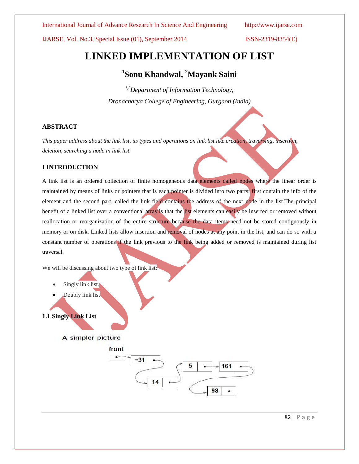IJARSE, Vol. No.3, Special Issue (01), September 2014 ISSN-2319-8354(E)

# **LINKED IMPLEMENTATION OF LIST**

# **1 Sonu Khandwal, <sup>2</sup>Mayank Saini**

*1,2Department of Information Technology, Dronacharya College of Engineering, Gurgaon (India)*

#### **ABSTRACT**

*This paper address about the link list, its types and operations on link list like creation, traversing, insertion, deletion, searching a node in link list.*

## **I INTRODUCTION**

A link list is an ordered collection of finite homogeneous data elements called nodes where the linear order is maintained by means of links or pointers that is each pointer is divided into two parts: first contain the info of the element and the second part, called the link field contains the address of the next node in the list.The principal benefit of a linked list over a conventional array is that the list elements can easily be inserted or removed without reallocation or reorganization of the entire structure because the data items need not be stored contiguously in memory or on disk. Linked lists allow insertion and removal of nodes at any point in the list, and can do so with a constant number of operations if the link previous to the link being added or removed is maintained during list traversal.

We will be discussing about two type of link list:

- Singly link list.
- Doubly link list

**1.1 Singly Link List**

A simpler picture

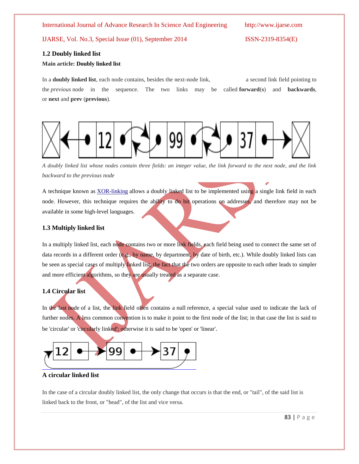IJARSE, Vol. No.3, Special Issue (01), September 2014 ISSN-2319-8354(E)

#### **1.2 Doubly linked list**

#### **Main article: Doubly linked list**

In a **doubly linked list**, each node contains, besides the next-node link, a second link field pointing to the *previous* node in the sequence. The two links may be called **forward**(**s**) and **backwards**, or **next** and **prev** (**previous**).



*A doubly linked list whose nodes contain three fields: an integer value, the link forward to the next node, and the link backward to the previous node*

A technique known as **[XOR-linking](http://en.wikipedia.org/wiki/XOR_linked_list) allows a doubly linked list to be implemented using a single link field in each** node. However, this technique requires the ability to do bit operations on addresses, and therefore may not be available in some high-level languages.

#### **1.3 Multiply linked list**

In a multiply linked list, each node contains two or more link fields, each field being used to connect the same set of data records in a different order (e.g., by name, by department, by date of birth, etc.). While doubly linked lists can be seen as special cases of multiply linked list, the fact that the two orders are opposite to each other leads to simpler and more efficient algorithms, so they are usually treated as a separate case.

# **1.4 Circular list**

In the last node of a list, the link field often contains a null reference, a special value used to indicate the lack of further nodes. A less common convention is to make it point to the first node of the list; in that case the list is said to be 'circular' or 'circularly linked'; otherwise it is said to be 'open' or 'linear'.



#### **A circular linked list**

In the case of a circular doubly linked list, the only change that occurs is that the end, or "tail", of the said list is linked back to the front, or "head", of the list and vice versa.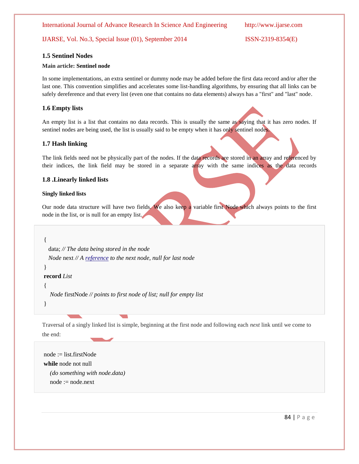# IJARSE, Vol. No.3, Special Issue (01), September 2014 ISSN-2319-8354(E)

#### **1.5 Sentinel Nodes**

#### **Main article: Sentinel node**

In some implementations, an extra sentinel or dummy node may be added before the first data record and/or after the last one. This convention simplifies and accelerates some list-handling algorithms, by ensuring that all links can be safely dereference and that every list (even one that contains no data elements) always has a "first" and "last" node.

### **1.6 Empty lists**

An empty list is a list that contains no data records. This is usually the same as saying that it has zero nodes. If sentinel nodes are being used, the list is usually said to be empty when it has only sentinel nodes.

#### **1.7 Hash linking**

The link fields need not be physically part of the nodes. If the data records are stored in an array and referenced by their indices, the link field may be stored in a separate array with the same indices as the data records

#### **1.8 .Linearly linked lists**

#### **Singly linked lists**

Our node data structure will have two fields. We also keep a variable first Node which always points to the first node in the list, or is null for an empty list.

**record** *Node* {

 data; *// The data being stored in the node Node* next *// A [reference](http://en.wikipedia.org/wiki/Reference_(computer_science)) to the next node, null for last node*

}

#### **record** *List*

{

*Node* firstNode *// points to first node of list; null for empty list*

}

Traversal of a singly linked list is simple, beginning at the first node and following each *next* link until we come to the end:

node := list.firstNode **while** node not null *(do something with node.data)* node := node.next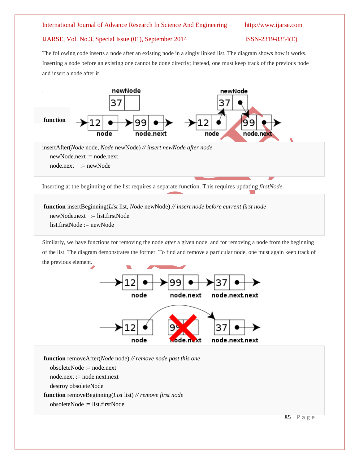### IJARSE, Vol. No.3, Special Issue (01), September 2014 ISSN-2319-8354(E)

The following code inserts a node after an existing node in a singly linked list. The diagram shows how it works. Inserting a node before an existing one cannot be done directly; instead, one must keep track of the previous node and insert a node after it



Inserting at the beginning of the list requires a separate function. This requires updating *firstNode*.

**function** insertBeginning(*List* list, *Node* newNode) *// insert node before current first node* newNode.next := list.firstNode list.firstNode := newNode

Similarly, we have functions for removing the node *after* a given node, and for removing a node from the beginning of the list. The diagram demonstrates the former. To find and remove a particular node, one must again keep track of the previous element.



**function** removeAfter(*Node* node) *// remove node past this one*

obsoleteNode := node.next

node.next := node.next.next

destroy obsoleteNode

**function** removeBeginning(*List* list) *// remove first node*

obsoleteNode := list.firstNode

85 | P a g e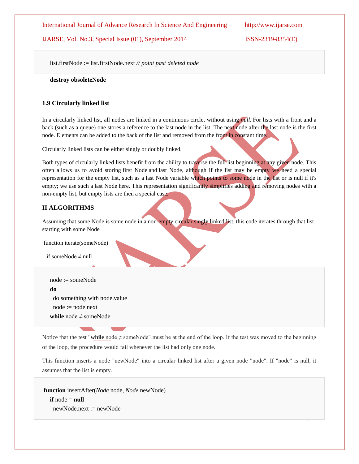IJARSE, Vol. No.3, Special Issue (01), September 2014 ISSN-2319-8354(E)

 $\overline{\phantom{a}}$  ,  $\overline{\phantom{a}}$ 

list.firstNode := list.firstNode.next *// point past deleted node*

 **destroy obsoleteNode**

## **1.9 Circularly linked list**

In a circularly linked list, all nodes are linked in a continuous circle, without using *null.* For lists with a front and a back (such as a queue) one stores a reference to the last node in the list. The next node after the last node is the first node. Elements can be added to the back of the list and removed from the front in constant time.

Circularly linked lists can be either singly or doubly linked.

Both types of circularly linked lists benefit from the ability to traverse the full list beginning at any given node. This often allows us to avoid storing first Node and last Node, although if the list may be empty we need a special representation for the empty list, such as a last Node variable which points to some node in the list or is null if it's empty; we use such a last Node here. This representation significantly simplifies adding and removing nodes with a non-empty list, but empty lists are then a special case.

# **II ALGORITHMS**

Assuming that some Node is some node in a non-empty circular singly linked list, this code iterates through that list starting with some Node

function iterate(someNode)

if someNode  $\neq$  null

 node := someNode **do** do something with node.value  $node := node.next$ **while** node  $\neq$  someNode

Notice that the test "while node  $\neq$  someNode" must be at the end of the loop. If the test was moved to the beginning of the loop, the procedure would fail whenever the list had only one node.

This function inserts a node "newNode" into a circular linked list after a given node "node". If "node" is null, it assumes that the list is empty.

**function** insertAfter(*Node* node, *Node* newNode) **if** node  $=$  **null** newNode.next := newNode